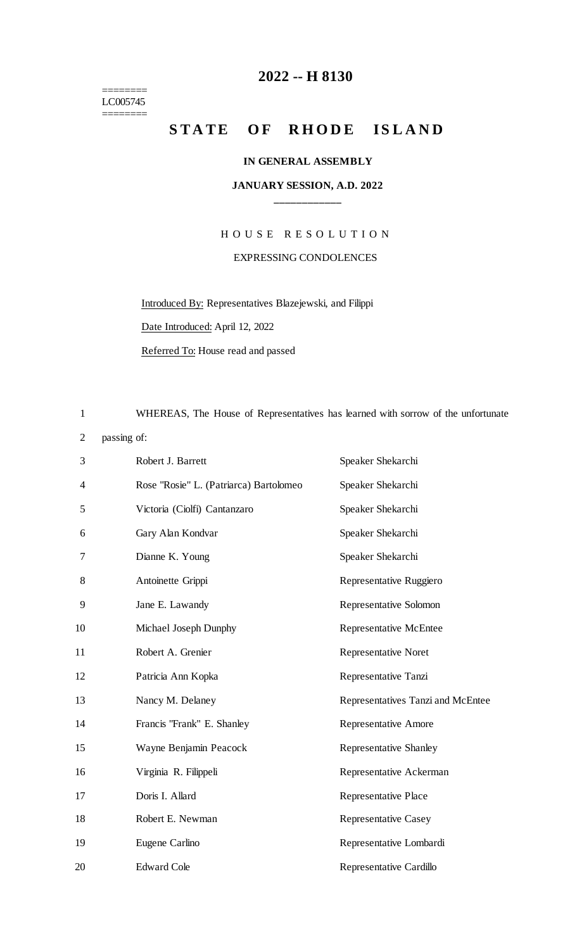======== LC005745

 $=$ 

### **-- H 8130**

## STATE OF RHODE ISLAND

#### **IN GENERAL ASSEMBLY**

#### **JANUARY SESSION, A.D. 2022 \_\_\_\_\_\_\_\_\_\_\_\_**

# H O U S E R E S O L U T I O N EXPRESSING CONDOLENCES

Introduced By: Representatives Blazejewski, and Filippi

Date Introduced: April 12, 2022

Referred To: House read and passed

WHEREAS, The House of Representatives has learned with sorrow of the unfortunate

passing of:

| 3  | Robert J. Barrett                      | Speaker Shekarchi                 |
|----|----------------------------------------|-----------------------------------|
| 4  | Rose "Rosie" L. (Patriarca) Bartolomeo | Speaker Shekarchi                 |
| 5  | Victoria (Ciolfi) Cantanzaro           | Speaker Shekarchi                 |
| 6  | Gary Alan Kondvar                      | Speaker Shekarchi                 |
| 7  | Dianne K. Young                        | Speaker Shekarchi                 |
| 8  | Antoinette Grippi                      | Representative Ruggiero           |
| 9  | Jane E. Lawandy                        | Representative Solomon            |
| 10 | Michael Joseph Dunphy                  | <b>Representative McEntee</b>     |
| 11 | Robert A. Grenier                      | <b>Representative Noret</b>       |
| 12 | Patricia Ann Kopka                     | Representative Tanzi              |
| 13 | Nancy M. Delaney                       | Representatives Tanzi and McEntee |
| 14 | Francis "Frank" E. Shanley             | <b>Representative Amore</b>       |
| 15 | Wayne Benjamin Peacock                 | <b>Representative Shanley</b>     |
| 16 | Virginia R. Filippeli                  | Representative Ackerman           |
| 17 | Doris I. Allard                        | <b>Representative Place</b>       |
| 18 | Robert E. Newman                       | <b>Representative Casey</b>       |
| 19 | Eugene Carlino                         | Representative Lombardi           |
| 20 | <b>Edward Cole</b>                     | Representative Cardillo           |